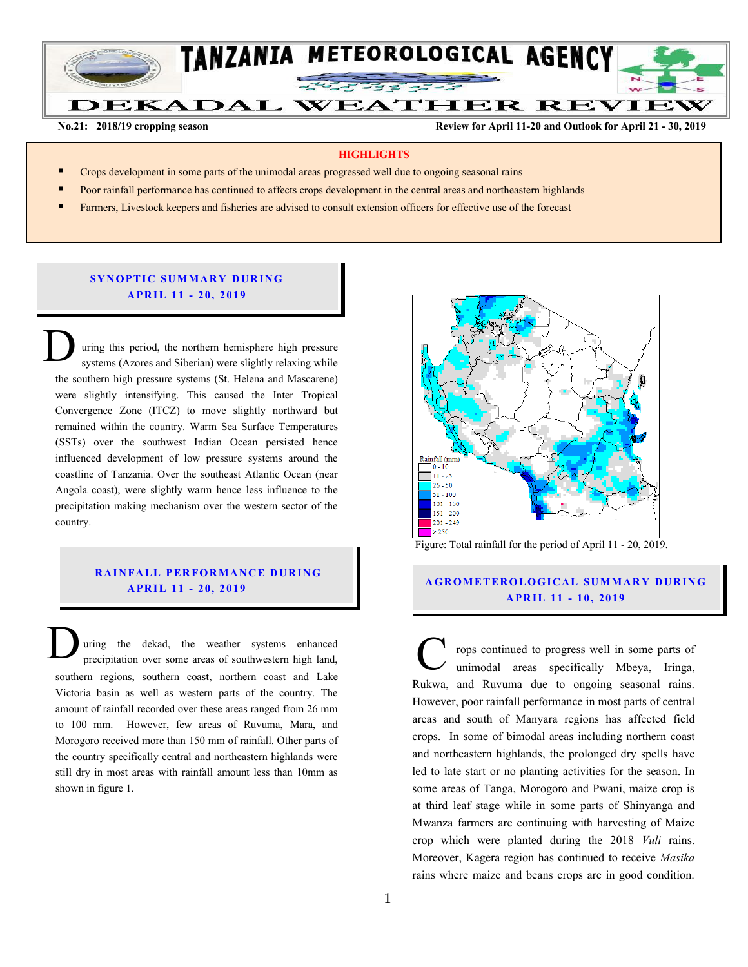

**No.21: 2018/19 cropping season Review for April 11-20 and Outlook for April 21 - 30, 2019** 

#### **HIGHLIGHTS**

- Crops development in some parts of the unimodal areas progressed well due to ongoing seasonal rains
- Poor rainfall performance has continued to affects crops development in the central areas and northeastern highlands
- Farmers, Livestock keepers and fisheries are advised to consult extension officers for effective use of the forecast

#### **SYNOPTIC SUMMARY DURING A PR IL 11 - 20, 201 9**

uring this period, the northern hemisphere high pressure systems (Azores and Siberian) were slightly relaxing while the southern high pressure systems (St. Helena and Mascarene) were slightly intensifying. This caused the Inter Tropical Convergence Zone (ITCZ) to move slightly northward but remained within the country. Warm Sea Surface Temperatures (SSTs) over the southwest Indian Ocean persisted hence influenced development of low pressure systems around the coastline of Tanzania. Over the southeast Atlantic Ocean (near Angola coast), were slightly warm hence less influence to the precipitation making mechanism over the western sector of the country. D

#### **RAINFALL PERFORMANCE DURING A PR IL 1 1 - 20, 201 9**

uring the dekad, the weather systems enhanced precipitation over some areas of southwestern high land, Ultima the dekad, the weather systems enhanced<br>precipitation over some areas of southwestern high land,<br>southern regions, southern coast, northern coast and Lake Victoria basin as well as western parts of the country. The amount of rainfall recorded over these areas ranged from 26 mm to 100 mm. However, few areas of Ruvuma, Mara, and Morogoro received more than 150 mm of rainfall. Other parts of the country specifically central and northeastern highlands were still dry in most areas with rainfall amount less than 10mm as shown in figure 1.



Figure: Total rainfall for the period of April 11 - 20, 2019.

### **A G RO METER O LO G IC AL SU MMAR Y DU R IN G A PR IL 1 1 - 10 , 201 9**

rops continued to progress well in some parts of unimodal areas specifically Mbeya, Iringa, Rukwa, and Ruvuma due to ongoing seasonal rains. However, poor rainfall performance in most parts of central areas and south of Manyara regions has affected field crops. In some of bimodal areas including northern coast and northeastern highlands, the prolonged dry spells have led to late start or no planting activities for the season. In some areas of Tanga, Morogoro and Pwani, maize crop is at third leaf stage while in some parts of Shinyanga and Mwanza farmers are continuing with harvesting of Maize crop which were planted during the 2018 *Vuli* rains. Moreover, Kagera region has continued to receive *Masika* rains where maize and beans crops are in good condition.